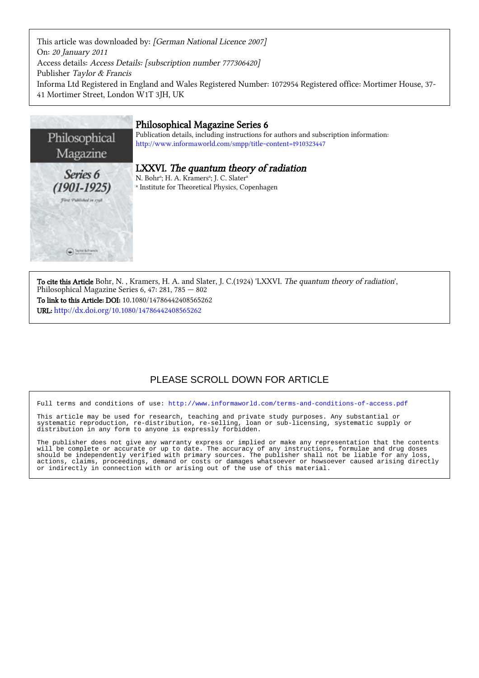This article was downloaded by: [German National Licence 2007] On: 20 January 2011 Access details: Access Details: [subscription number 777306420] Publisher Taylor & Francis Informa Ltd Registered in England and Wales Registered Number: 1072954 Registered office: Mortimer House, 37- 41 Mortimer Street, London W1T 3JH, UK



To cite this Article Bohr, N. , Kramers, H. A. and Slater, J. C.(1924) 'LXXVI. The quantum theory of radiation', Philosophical Magazine Series 6, 47: 281, 785 — 802 To link to this Article: DOI: 10.1080/14786442408565262 URL: <http://dx.doi.org/10.1080/14786442408565262>

# PLEASE SCROLL DOWN FOR ARTICLE

Full terms and conditions of use:<http://www.informaworld.com/terms-and-conditions-of-access.pdf>

This article may be used for research, teaching and private study purposes. Any substantial or systematic reproduction, re-distribution, re-selling, loan or sub-licensing, systematic supply or distribution in any form to anyone is expressly forbidden.

The publisher does not give any warranty express or implied or make any representation that the contents will be complete or accurate or up to date. The accuracy of any instructions, formulae and drug doses should be independently verified with primary sources. The publisher shall not be liable for any loss, actions, claims, proceedings, demand or costs or damages whatsoever or howsoever caused arising directly or indirectly in connection with or arising out of the use of this material.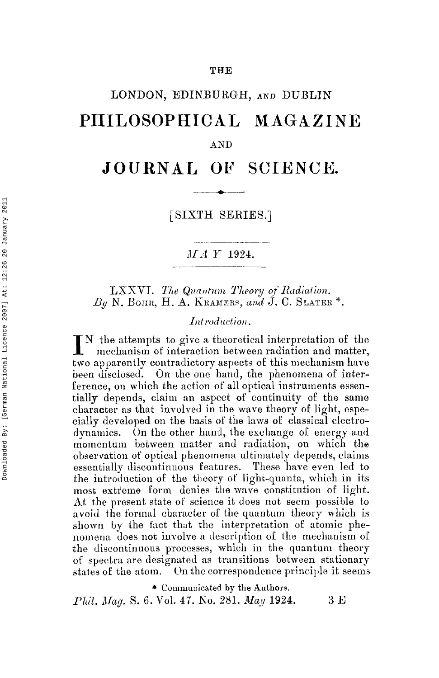#### **THE**

# LONDON, EDINBURGH, AND DUBLIN **PHILOSOPHICAL**  AND **MAGAZINE**

**JOURNAL OF SCIENCE.** 

[SIXTH SERIES.]

*MA Y* 1924.

LXXVI. The Quantum Theory of Radiation.  $By~N.$  BOHR, H. A. KRAMERS, and J. C. SLATER  $*$ .

*Introduction.* 

IN the attempts to give a theoretical interpretation of the mechanism of interpretation has mechanism of interaction between radiation and matter, two apparently contradictory aspects of this mechanism have been disclosed. On the one hand, the phenomena of interference, on which the action of all optical instruments essentially depends, claim an aspect of continuity of the same character as that involved in the wave theory of light, especially developed on the basis of the laws of classical electrodynamics. On the other hand, the exchange of energy and momentum between matter and radiation, on which the observation of optical phenomena ultimately depends, claims essentially discontinuous features. These have even led to the introduction of the theory of light-quanta, which in its most extreme form denies the wave constitution of light. At the present state of science it does not seem possible to avoid the formal character of the quantum theory which is shown by the fact that the interpretation of atomic phenomena does not involve a description of the mechanism of the discontinuous processes, which in the quantum theory of spectra are designated as transitions between stationary states of the atom. On the correspondence principle it seems

• Communicated by ths Authors.

*Phil. Mag.* S. 6. Vol. 47. No. 281. *May* 1924. 3 E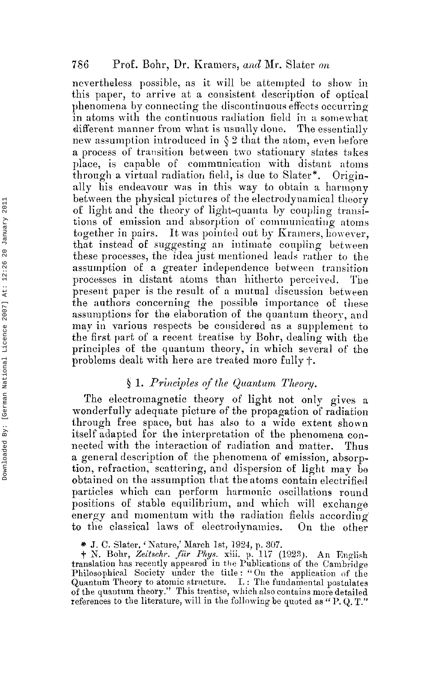nevertheless possible, as it will be attempted to show in this paper, to arrive at a consistent description of optical phenomena by connecting the discontinuous effects occurring in atoms with the continuous radiation field in a somewhat different manner from what is usually done. The essentially new assumption introduced in  $\S 2$  that the atom, even before a process of transition between two stationary states takes place, is capable of communication with distant atoms through a virtual radiation field, is due to Slater\*. Originally his endeavour was in this way to obtain a harmony between the physical pictures of the electrodynamical theory of light and the theory of light-quanta hy coupling transltions of emission and absorption of communicating atoms together in pairs. It was pointed out by Kramers, however, that instead of suggesting an intimate coupling between these processes, the idea just mentioned leads rather to the assmnption of a greater independence between transition processes in distant atoms than hitherto perceived. The present paper is the result of a mutual discussion between the authors concerning the possible importance of these assumptions for the elaboration of the quantum theory, and may in various respects be considered as a supplement to the first part of a recent treatise by Bohr, dealing with the principles of the quantum theory, in which several of the problems dealt with here are treated more fully  $\dagger$ .

## § 1. Principles of the Quantum Theory.

The electromagnetic theory of light not only gives a wonderfully adequate picture of the propagation of radiation through free space, but has also to a wide extent shown itself adapted for the interpretation of the phenomena connected with the interaction of radiation and matter. Thus a general description of the phenomena of emission, absorption, refraction, scattering, and dispersion of light may be obtained on the assumption that the atoms contain electrified particles which can perform harmonic oscillations round positions of stable equilibrium, and which will exchange energy and momentum with the radiation fields according to the classical laws of electrodynamics. On the other

\* J. C. Slater, 'Nature,' March 1st, 1924, p. 307.

+ N. Bohr, *Zeitschr. für Phys.* xiii. p. 117 (1923). An English translation has recently appeared in the Publications of the Cambridge. Philosophical Society under the title: "On the application of the Quantum Theory to atomic structure. I.: The fundamental postulates of the quantum theory." This treatise, which also contains more detailed references to the literature, will in the following be quoted as "P.Q.T."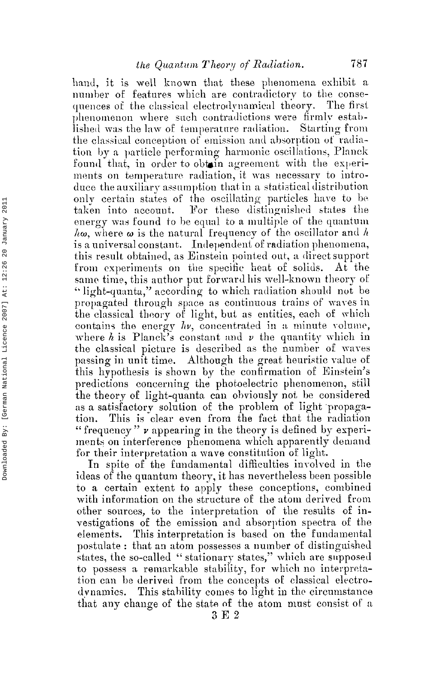hand, it is well known that these phenomena exhibit a number of features which are contradictory to the consequences of the classical electrodynamical theory. The first phenomenon where such contradictions were firmly established was the law of temperature radiation. Starting from the classical conception of emission and absorption of radiation by a particle performing harmonic oscillations, Planck found that, in order to obtain agreement with the experiments on temperature radiation, it was necessary to introduce the auxiliary assumption that in a statistical distribution only certain states of the oscillating particles have to he taken into account. For these distinguished states the energy was found to be equal to a multiple of the quantum  $h\omega$ , where  $\omega$  is the natural frequency of the oscillator and h is a universal constant. Independent of radiation phenomena, this result obtained, as Einstein pointed out, a direct support from experimeuts on the specific heat of solids. At the same time, this author put forward his well-known theory of " light-quanta," aceording to which radiation should not be propagated through space as continuous trains of waves in the classical theory of light, but as entities, each of which contains the energy  $h\nu$ , concentrated in a minute volume, where h is Planck's constant and  $\nu$  the quantity which in the classical picture is described as the number of waves passing in unit time. Although the great heuristic value of this hypothesis is shown by the confirmation of Einstein's predictions concerning the photoelectric phenomenon, still the theory of light-quanta can obviously not be considered as a satisfactory solution of the problem of light propagation. This is clear even from the fact that the radiation "frequency" v appearing in the theory is defned by experiments on interference phenomena which apparently demand for their interpretation a wave constitution of light.

In spite of the fundamental difficulties involved in the ideas of the quantum theory, it has nevertheless been possible to a certain extent to apply these conceptions, combined with information on the structure of the atom derived from other sources, to the interpretation of the results of investigations of the emission and absorption spectra of the elements. This interpretation is based on the fundamental postulate: that an atom possesses a number of distinguished states, the so-called " stationary states," which are supposed to possess a remarkable stability, for which no interpretation can be derived from the concepts of classical electrodynamics. This stability comes to light in the eiremnstaneo that any change of the state of the atom must consist of a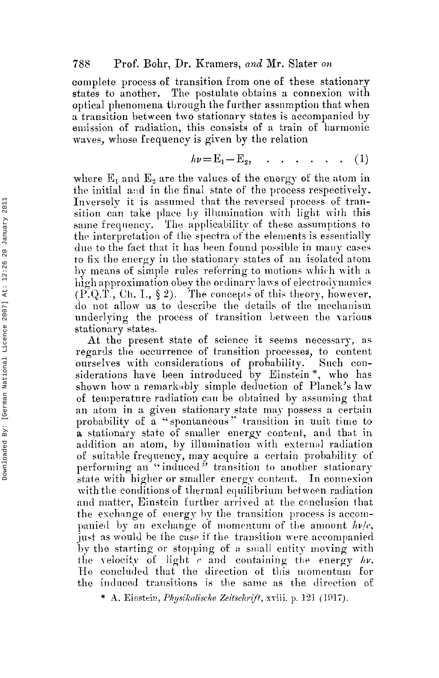complete process of transition from one of these stationary states to another. The postulate obtains a connexion with optical phenomena through the further assumption that when a transition between two stationary states is accompanied by emission of radiation, this consists of a train of harmonic waves, whose frequency is given by the relation

$$
hv = \mathbf{E}_1 - \mathbf{E}_2, \quad \ldots \quad \ldots \quad \ldots \quad (1)
$$

where  $E_1$  and  $E_2$  are the values of the energy of the atom in the initial and in the final state of the process respectively. Inversely it is assumed that the reversed process of transition can take place by illumination with light with this same frequency. The applicability of these assumptions to the interpretation of the speetra of the elements is essentially due to the tact that it has been found possible in many eases to fix the energy in the stationary states of an isolated atom by means of simple rules referring to motions which with a high approximation obey the ordinary laws of eleetrodynmnics  $(\widetilde{P,Q,T}, Ch, I., \S 2)$ . The concepts of this theory, however, do not allow us to describe the details of the mechanism underlying the process of transition between the various stationary states.

At the present state of science it seems necessary, as regards the occurrence of transition processes, to content ourselves with considerations of probability. Such considerations have been introduced by Einstein\*, who has shown how a remarkably simple deduction of Phmck's law of temperature radiation ean be obtained by assuming that an atom in a given stationary state may possess a certain probability of a "spontaneous" transition in unit time to a stationary state of smaller energy content, and that in addition an atom, by illumination with external radiation of suitable frequency, may acquire a eertain probability of performing an "induced" transition to another stationary state with higher or smaller energy content. In connexion with the conditions of thermal equilibrium between radiation and matter, Einstein further arrived at the conclusion that the exchange of energy by the transition process is accompauied by an exchange of momentum of the amount *hv/c,*  just as would be the case if the transition were accompanied by the starting or stopping of a small entity moving with the velocity of light  $c$  and containing the energy  $h\nu$ . He concluded that the direction of this momentum for the induced transitions is the same as the direction of

\* A. Einstein, *Physikalische Zeitschrift*, xviii, p. 121 (1917).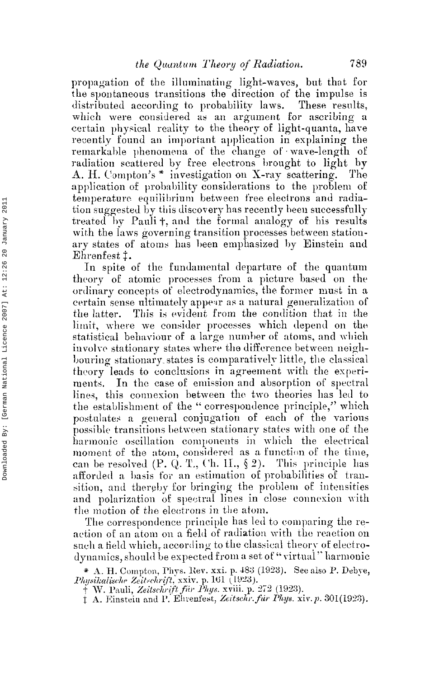propagation of the illuminating light-waves, but that for the spontaneous transitions the direction of the impulse is distributed according to probability laws. These results, which were considered as an argument for ascribing a certain physical reality to the theory of light-quanta, have recently found an important application in explaining the remarkable phenomena of the change of wave-length of radiation scattered by free electrons brought to light by A. H. Compton's \* investigation on X-ray scattering. The application of probability considerations to the problem of temperature equilibrium between free electrons and radiation suggested by this discovery has reeently been sueeessfnlly treated by Pauli  $\dagger$ , and the formal analogy of his results with the laws governing transition processes between stationary states of atoms has been emphasized by Einstein and  $E$ hrenfest  $\ddagger$ .

In spite of the fundamental departure of the quantum theory of atomic processes from a picture based on the ordinary concepts of electrodynamics, the former must in a certain sense ultimately appear as a natural generalization of the latter. This is evident from the condition that in the limit, where we consider processes which depend on the statistical behavionr of a large number of atoms, and which involve stationary states where the difference between neighbouring stationary states is comparatively little, the classical theory leads to conclusions in agreement with the experiments. In the case of emission and absorption of spectral lines, this connexion between the two theories has led to the establishment of the "correspondence principle," which postulates a general conjugation of each of the various possible transitions between stationary states with one of the harmonic oscillation components in which the electrical moment of the atom, considered as a function of the time, can be resolved (P. Q. T., Ch. II.,  $\S 2$ ). This principle has afforded a basis for an estimation of probabilities of transition, and thereby for bringing the problem of intensities and polarization of spectral lines in close connexion with the motion of the electrons in the atom.

The eorrespondence principle has led to comparing the reaction of an atom on a field of radiation with the reaction on such a field which, according to the classical theory of electrodynamics, should be expected from a set of "virtual" harmonic

 $*$  A. H. Compton, Phys. Rev. xxi. p. 483 (1923). See also P. Debye, *Physikalische Zeitschrift, xxiv. p. 161 (1923).* 

 $\dagger$  W. Pauli, Zeitschrift für Phys. xviii. p. 272 (1923).

 $\ddagger$  A. Einstein and P. Ehrenfest, Zeitschr. für Phys. xiv. p. 301(1923).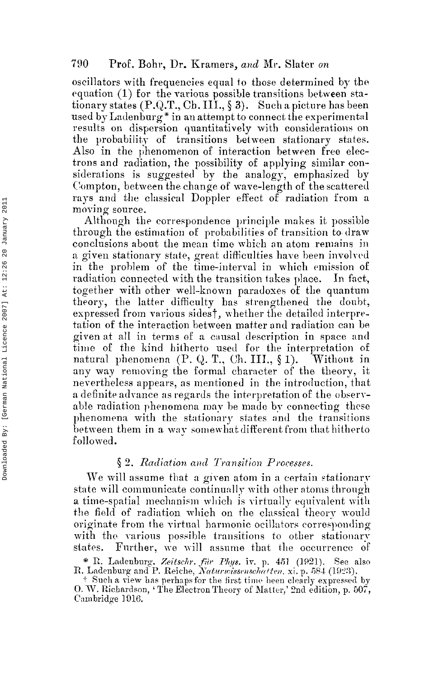oscillators with frequencies equal to those determined by the equation (1) for the various possible transitions between stationary states  $(P.Q.T., Ch. III., § 3)$ . Such a picture has been used byLadenburg\* in an attempt to connect the experimental results on dispersion quantitatively with considerations on the probability of transitions between stationary states. Also in the phenomenon of interaction between free electrons and radiation, the possibility of applying similar considerations is suggested by the analogy, emphasized by Compton, between the change of wave-length of the scattered rays and the classical Doppler effect of radiation from a moving source.

Although the correspondence principle makes it possible through the estimation of probabilities of transition to draw eonelusions about the mean time which an atom remains in a given stationary state, great difficulties have been involved in the problem of the time-interval in which emission of radiation connected with the transition takes place. In fact, together with other well-known paradoxes of the quantum theory, the latter difficulty has strengthened the doubt, expressed from various sides†, whether the detailed interpretation of the interaction between matter and radiation can be given at all in terms of a causal description in space and time of the kind hitherto used for the interpretation of natural phenomena  $(P, Q, T, Ch, III, § 1)$ . Without in any way removing the formal character of the theory, it nevertheless appears, as mentioned in the introduction, that a definite adranee as regards the interpretation of the observable radiation phenomena may be made by connecting these phenomena with the stationary states and the transitions between them in a way somewhat different from that hitherto followed.

#### *§ 2. Radialion m~d Transition Processes.*

We will assume that a given atom in a certain stationary. state will communicate continually with other atoms through a time-spatial mechanism which is virtually equivalent with the field of radiation which on the classical theory would originate from the virtual harmonic oeillators corresponding with the various possible transitions to other stationary states. Further, we will assume that the occurrence of

\* R. Ladenburg, Zeitschr. für Phys. iv. p. 451 (1921). See also  $R.$  Ladenburg and P. Reiche, *Naturwissenschatten*, xi. p. 584 (1923).

<sup>+</sup> Such a view has perhaps for the first time heen clearly expressed by O. W. Richardson, 'The Electron Theory of Matter,' 2nd edition, p. 507, Cambridge ] 916.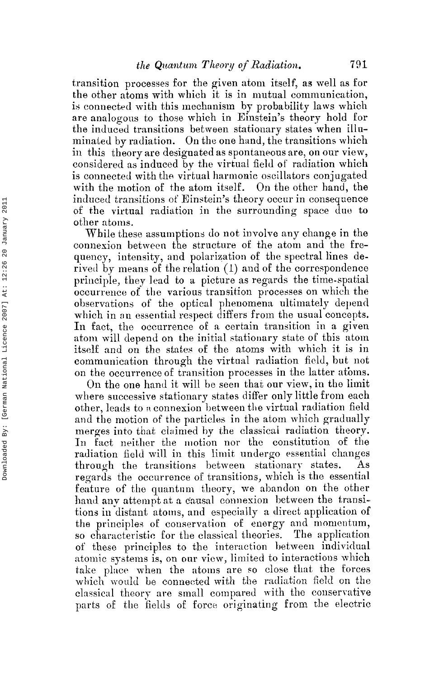transition processes for the given atom itself, as well as for the other atoms with which it is in mutual communication, is connected with this mechanism by probability laws which are analogous to those which in Einstein's theory hold for the induced transitions between stationary states when illuminated by radiation. On the one hand, the transitions which in this theory are designated as spontaneous are, on our view, considered as induced by the virtual field of radiation which is connected with the virtual harmonic oscillators conjugated with the motion of the atom itself. On the other hand, the induced transitions of Einstein's theory occur in consequence of the virtual radiation in the surrounding space due to other atoms.

While these assumptions do not involve any change in the connexion between the structure of the atom and the frequency, intensity, and polarization of the spectral lines derived by means of the relation (l) and of the correspondence principle, they lead to a picture as regards the time-spatial occurrence of the various transition processes on which the observations of the optical phenomena nltinmtely depend which in an essential respect differs from the usual concepts. In fact, the occurrence of a certain transition in a given atom will depend on the initial stationary state of this atom itself and on the states of the atoms with which it is in eommunication through the virtual radiation field, but not on the occurrence of transition processes in the latter atbms.

On the one hand it will be seen that our view, in the limit where successive stationary states differ only little from each other, leads to a connexion between the virtual radiation field and the motion of the particles in the atom which gradually merges into that claimed by the classical radiation theory. In fact neither the motion nor the constitution of the radiation field will in this limit undergo essential changes through the transitions between stationary states. As regards the occurrence of transitions, which is the essential feature of the quantum theory, we abandon on the other hand any attempt at a causal connexion between the transitions in distant atoms, and especially a direct application of the principles of conservation of energy and momentum, so characteristic for the classical theories. The application of these principles to the interaction between individual atomic systems is, on our view, limited to interactions which take place when the atoms are so close that the forces which would be connected with the radiation field on the classical theory are small compared with the conservative parts of the fields of force originating from the electric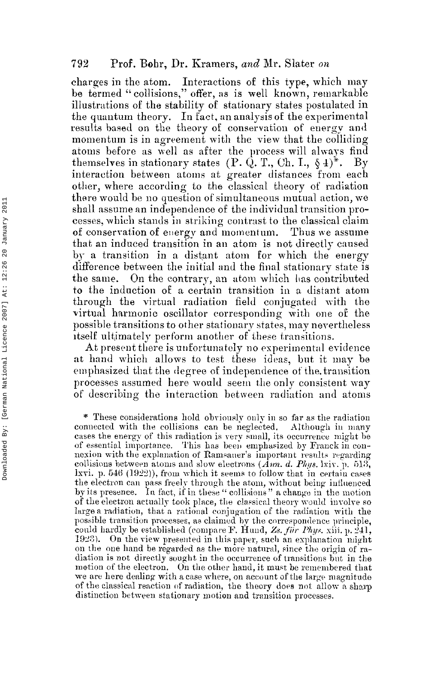charges in the atom. Interactions of this type, which may be termed "collisions," offer, as is well known, remarkable illustrations of the stability of stationary states postulated in the quantum theory. In fact, an analysis of the experimental results based on the theory of conservation of energy and momentum is in agreement with the view that the colliding atoms before as well as after the process will always find themselves in stationary states (P. Q. T., Ch. I.,  $\& 4$ )\*. By interaction between atoms at greater distances from each other, where according to the classical theory of radiation there would be no question of simultaneous mutual action, we shall assume an independence of the individual transition processes, which stands in striking contrast to the classical claim of conservation of energy and momentum. Thus we assmne that an induced transition in an atom is not directly caused by a transition in a distant atom for which the energy difference between the initial and the final stationary state is the same. On the contrary, an atom which has contributed to the induction of a certain transition in a distant atom through the virtual radiation field conjugated with the virtual harmonic oscillator corresponding with one of the possible transitions to other stationary states, may nevertheless itself ultimately perform another of these transitions.

At present there is unfortunately no experimental evidence at hand which allows to test these ideas, but it may be emphasized that the degree of independence of the.transition processes assumed here would seem the only consistent way of describing the interaction between radiation and atoms

<sup>\*</sup> These considerations hold obviously only in so far as the radiation connected with the collisions can be neglected. Although in many cases the energy of this radiation is very small, its occurrence might be of essential importance. This has been emphasized by Franck in connexion with the explanation of Ramsauer's important results regarding collisions between atoms and slow electrons  $(Aun. d. Phys. \,lxiv. p. 513,$ lxvi. p.  $546$  (1922)), from which it seems to follow that in certain cases the electron can pass freely through the atom, without being influenced by its presence. In fact, if in these "collisions" a change in the motion of the electron actually took place, the classical theory would involve so large a radiation, that a rational conjugation of the radiation with the possible transition processes, as claimed by the correspondence principle, could hardly be established (compare F. Hund, *Zs. für Phys.* xiii. p. 241, 1923). On the view presented in this paper, such an explanation might on the one hand be regarded as the more natural, since the origin of radiation is not directly sought in the occurrence of transitions but in the motion of the electron. On the other hand, it must be remembered that we are here dealing with a case where, on account of the large magnitude of the classical reaction of radiation, the theory does not allow a sharp distinction between stationary motion and transition processes.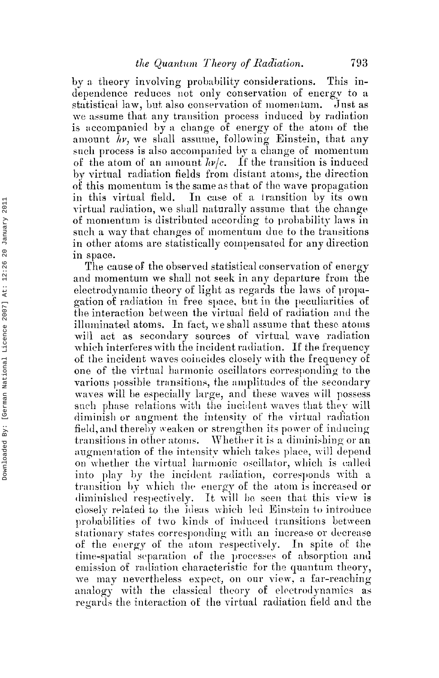by a theory involving probability considerations. This independence reduces not only conservation of energy to a statistical law, hut also conservation of momentum. Just as we assume that any trausition process induced by radiation is accompanied by a change of energy of the atom of the amount *hv*, we shall assume, following Einstein, that any such process is also accompanied by a change of momentum of the atom of an amount  $h\nu/c$ . If the transition is induced by virtual radiation felds from distant atoms, the direction of this momentum is the same as that of the wave propagation in this virtual field. In case of a transition by its own virtual radiation, we shall naturally assume that the change of momentum is distributed according to probability laws in such a way that changes of momentum due to the transitions in other atoms are statistically compensated for any direction in space.

The cause of the observed statistical conservation of energy and momentum we shall not seek in any departure from the electrodynamic theory of light as regards the laws of propagation of radiation in free space, but in the peculiarities of the interaction between the virtual field of radiation and the illuminated atoms. In fact, we shall assume that these atoms will act as secondary sources of virtual wave radiation which interferes with the incident radiation. If the frequency of the incident waves coincides closely with the frequency of one of the virtual harmonic oscillators corresponding to the various possible transitions, the amplitudes of the secondary waves will he especially large, and these waves will possess such phase relations with the incident waves that they will diminish or augment the intensity of the virtual radiation field, and thereby weaken or strengthen its power of inducing transitions in other atoms. Whether it is a diminishing or an augmentation of the intensity which takes place, will depend on whether the virtual harmonic oscillator, which is called into play by the incident radiation, corresponds with a transition by which the energy of the atom is increased or diminished respeetively. It will be seen that this view is closely related to the ideas which led Einstein to introduce prohabilities of two kinds of induced transitions between stationary states corresponding with an increase or decrease of the energy of the atom respectively. In spite of the time-spatial separation of the processes of absorption and emission of radiation characteristic for the quantum theory, we may nevertheless expect, on our view, a far-reaching analogy with the classical theory of electrodynamics as regards the interaction of the virtual radiation field and the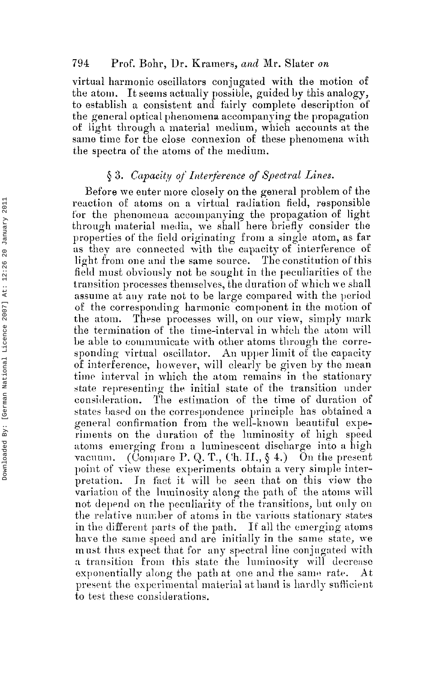#### 794 Prof. Bohr, Dr. Kramers, *and* Mr. Slater *on*

virtual harmonic oscillators conjugated with the motion of the atom. It seems actually possible, guided by this analogy, to establish a consistent and fitirly complete description of the general optical phenomena accompanying the propagation of light through a material medium, which accounts at the same time for the close connexion of these phenomena with the spectra of the atoms of the medium.

#### **§ 3.** Capacity of Interference of Spectral Lines.

Before we enter more closely on the general problem oF the reaction of atoms on a virtual radiation field, responsible for the phenomena accompanying the propagation of light through material media, we shall here briefly consider the properties of the field originating from a single atom, as far as they are connected with the capacity of interference of light from one and the same source. The constitution of this field must obviously not be sought in the peculiarities of the transition processes themselves, the duration of which we shall assume at any rate not to be large compared with the period of the corresponding harmonic component in the motion of the atom. These processes will, on our view, simply mark the termination of the time-interval in which the atom will be able to communicate with other atoms through the corresponding virtual oscillator. An upper limit of the capacity of interference, however, will clearly be given by the mean time interval in which the atom remains in the stationary state representing the initial state of the transition under consideration. The estimation of the time of duration of states based on the correspondence principle has obtained a general confirmation from the well-known beautiful experiments on the duration of the luminosity of high speed atoms emerging from a luminescent discharge into a high vacuum. (Compare P. Q. T., Ch. II.,  $\S 4$ .) On the present point of view these experiments obtain a very simple interpretation. In tact it will be seen that on'this view the variation of the luminosity along the path of the atoms will not depend on the peculiarity of the transitions, but only on the relative number of atoms in the various stationary states in the different parts of the path. If all the emerging atoms have the same speed and are initially in the same state, we must thus expect that for any spectral line conjugated with a transition from this state the luminosity will decrease exponentially along the path at one and the same rate. At present the experimental material at hand is hardly sufficient to test these considerations.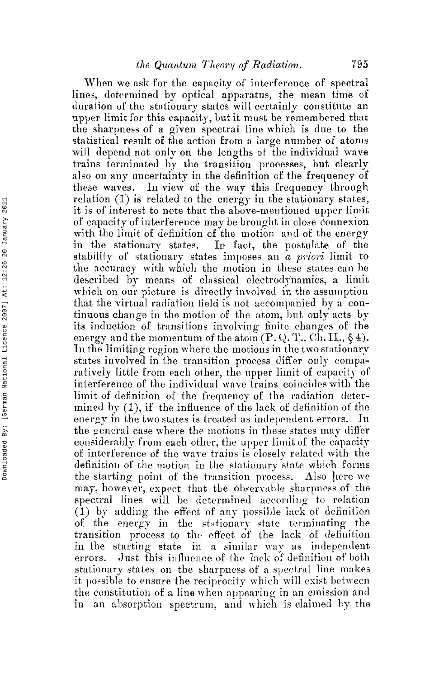When we ask for the capacity of interference of spectral lines, determined by optical apparatus, the mean time of duration of the stationary states will certainly constitute an upper limit for this capacity, but it must be remembered that the sharpness of a given spectral line which is due to the statistical result of the action from a large number of atoms will depend not only on the lengths of the individual wave trains terminated by the transition processes, but clearly also on any uncertainty in the definition of the frequency of these waves. In view of the way this frequency through relation (1) is related to the energy in the stationary states, it is of interest to note that the above-mentioned upper limit of capacity of interference may be brought in close connexion with the limit of definition cf the motion and of the energy in the stationary states. In fact, the postulate of the stability of stationary states imposes an *a pribrl* limit to the accuracy with which the motion in these states can be described by means of classical electrodynamics, a limit which on our picture is directly involved in the assumption that the virtual radiation field is not aecompanied by a continuous change in the motion of the atom, but only acts by its induction of transitions involving finite changes of the energy and the momentum of the atom  $(P, Q, T, Ch, II., \delta 4)$ . In the limiting region where the motions in the two stationary states involved in the transition process differ only comparatively little from each other, the upper limit of capacity of interference of the individual wave trains coincides with the limit of definition of the frequency of the radiation determined by (1), if the influence of the lack of definition of the energy in the two states is treated as independent errors. In the general ease where the motions in these states may differ considerably from each other, the upper limit of the capacity of interference of the wave trains is closely related with the definition of the motion in the stationary state which forms the starting point of the transition process. Also here we may, however, expect that the observable sharpness of the spectral lines will be determined according to relation (1) by adding the effeet of any possible lack of definition of the energy in the stationary state terminating the transition process to the effect of the lack of definition in the starting state in a similar way as independent errors. Just this influence of the lack of definition of both stationary states on the sharpness of a spectral line makes it possible to ensure the reciprocity which will exist between the constitution of a line when appearing in an emission and in an absorption spectrum, and which is claimed by the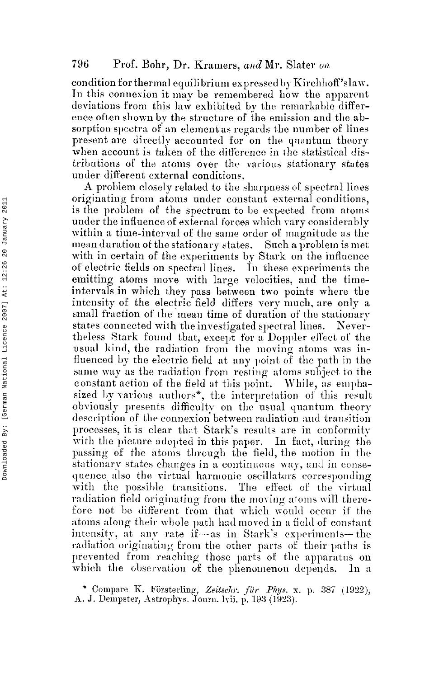condition for thermal equilibrium expressed by Kirehhoff'slaw. In this connexion it may be remembered how the apparent deviations from this law exhibited by the remarkable difference often shown by the structure of the emission and the absorption spectra of an element as regards the number of lines present are directly accounted for on the quantum theory when account is taken of the difference in the statistical distributions of the atoms over the various stationary states under different external conditions.

A problem closely related to the sharpness of spectral lines originating from atoms under constant external conditions, is the problem of the spectrum to be expected from atoms under the influence of external forces which vary considerably within a time-interval of the same order of magnitude as the mean duration of the stationary states. Such a problem is met with in certain of the experiments by Stark on the influence of electric fields on spectral lines. In these experiments the emitting atoms move with large velocities, and the timeintervals in which they pass between two points where the intensity of the electric field differs very much, are only a small fraction of the mean time of duration of the stationary states connected with the investigated spectral lines. Nevertheless Stark found that, except for a Doppler effect of the usual kind, the radiation from the moving atoms was influenced by the electric field at any point of the path in the same way as the radiation from resting atoms subject to the constant action of the fiehl at this point. While, as emphasized by various authors\*, the interpretation of this result obviously presents difficulty on the usual quantum theory description of the connexion between radiation and transition processes, it is clear that Stark's results are in conformity with the picture adopted in this paper. In fact, during the passing of the atoms through the field, the motion in the stationary states changes in a continuous way, and in consequence also the virtual harmonic oscillators corresponding with the possible transitions. The effect of the virtual radiation field originating from the moving atoms will therefore not be different from that which wouhl occur if the atoms along their whole path had moved in a field of constant intensity, at any rate if—as in Stark's experiments—the radiation originating from the other parts of their paths is prevented from reaching those parts of the apparatus on which the observation of the phenomenon depends. In a

\* Compare K. Försterling, Zeitschr. für Phys. x. p. 387 (1922), A. J. Dempster, Astrophys. Journ. hil. p. 193 (1923).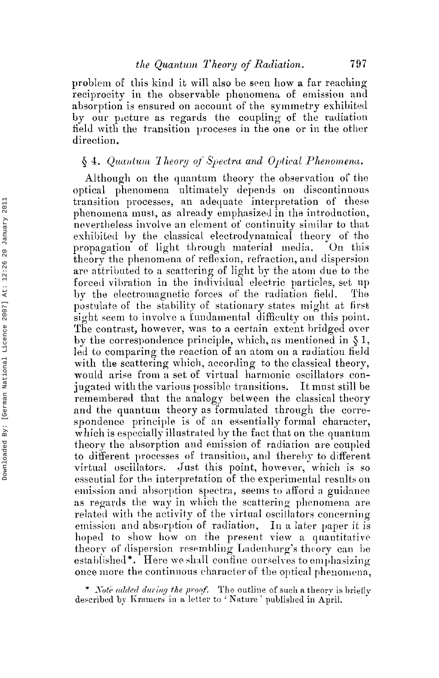problem of this kind it will also be seen how a far reaching reciprocity in the observable phenomena of emission and absorption is ensured on account of the symmetry exhibited by our picture as regards the coupling of the radiation field with the transition processes in the one or in the other direction.

### $\&$  4. Quantum Theory of Spectra and Optical Phenomena.

Although on the quantum theory the observation of the optical phenomena ultimately depends on discontinuous transition processes, an adequate interpretation of these phenomena must, as already emphasized in the introduction, nevertheless involve an element of continuity similar to that exhibited by the classical electrodynamical theory of the propagation of light through material media. On this theory the phenomena of reflexion, refraction, and dispersion are attributed to a scattering of light by the atom due to the forced vibration in the individual electric particles, set up by the electromagnetic forces of the radiation field. The postulate of the stability of stationary states might at first sight seem to involve a fundamental difficulty on this point. The contrast, however, was to a certain extent bridged over by the correspondence principle, which, as mentioned in  $\S 1$ , led to comparing the reaction of an atom on a radiation field with the scattering which, according to the classical theory, would arise from a set of virtual harmonic oscillators conjugated with the various possible transitions. It must still be remembered that the analogy between the classical theory and the quantum theory as formulated through the correspondence principle is of an essentially formal character, which is especially illustrated by the fact that on the quantum theory the absorption and emission of radiation are coupled to different processes of transition, and thereby to different virtual oscillators. Just this point, however, which is so essential for the interpretation of the experimental results on emission and absorption spectra, seems to afford a guidance as regards the way in which the scattering phenomena are related with the activity of the virtual oscillators concerning emission and absorption of radiation, In a later paper it is hoped to show how on the present view a quantitative theory of dispersion resembling Ladenburg's theory can be established\*. Here we shall confine ourselves to emphasizing once more the continuous character of the optical phenomena,

\* *Note added during the proof.* The outline of such a theory is briefly described by Kramers in a letter to 'Nature' published in April.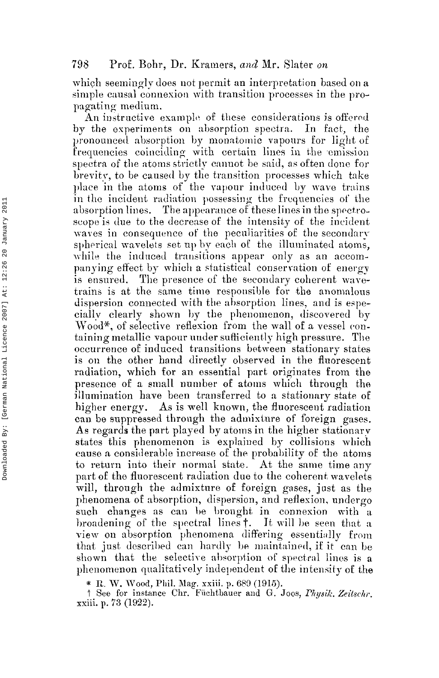which seemingly does not permit an interpretation based on a simple causal connexion with transition processes in the propagating medium.

An instructive example of these considerations is offered by the experiments on absorption spectra. In fact, the pronounced al)sorption by monatomic vapours for light of frequencies coinciding with certain lines in the emission spectra of the atoms strictly cannot be said, as often done for brevity, to be caused by the transition processes which take place in the atoms of the vapour induced by wave trains in the incident radiatiou possessing the frequencies of the absorption lines. The appearance of these lines in the spectre.. scope is due to the decrease of the intensity of the incident waves in consequence of the peculiarities of the secondary spherical wavelets set up by each of the illuminated atoms, while the induced transitions appear only as an accompanying effect by which a statistical conservation of energy is ensured. The presence of the secondary coherent wavetrains is at the same time responsible for the anomalous dispersion connected with the absorption lines, and is especially clearly shown by the phenomenon, discovered by Wood\*, of selective reflexion from the wall of a vessel conraining metallic vapour under sufficiently high pressure. The occurrence of induced transitions between stationary states is on the other hand directly observed in the fluorescent radiation, which for an essential part originates from the presence of a small number of atoms which through the illumination have been transferred to a stationary state of higher energy. As is well known, the fluorescent radiation can be suppressed through the admixture of foreign gases. As regards the part played by atoms in the higher stationary states this phenomenon is explained by collisions which cause a considerable increase of the probability of the atoms to return into their normal state. At the same time any part of the fluorescent radiation due to the coherent wavelets will, through the admixture of foreign gases, just as the phenomena of absorption, dispersion, and reflexion, undergo such changes as can be brought in connexion with a broadening of the spectral linest. It will be seen that a view on absorption phenomena differing essentially from that just described can hardly be maintained, if it can be shown that the selective absorption of spectral lines is a phenomenon qualitatively independent of the intensity of the

t See for instance Chr. Füchtbauer and G. Joos, *Physik. Zeitschr.* **xxiii, p. 73 (1922).** 

<sup>\*</sup> R. W. Wood, Phil. Mag. xxiii. p. 689 (1915).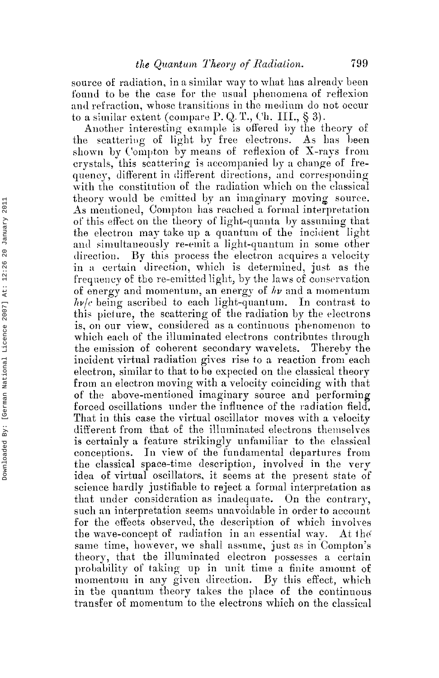source of radiation, in a similar way to what has already been found to be the case for the usual phenomena of reflexion and refraction, whose transitions in the medimn do not occur to a similar extent (compare  $P, Q, T, Ch, III, § 3$ ).

Another interesting example is offered by the theory of the scattering of light by free electrons. As has been shown by Compton by means of reflexion of X-rays from crystals, this scattering is accompanied *by* a change of frequency, different in different directions, and corresponding with the constitution of the radiation which on the classical theory would be emitted by an imaginary moving source. As mentioned, Compton has reached a formal interpretation of this effect on the theory of light-quanta by assuming that the electron may take up a quantum of the incident light and simultaneously re-emit a light-quantum in some other direction. By this process the electron acquires a velocity in a certain direction, which is determined, just as the frequency of the re-emitted light, by the laws of conservation of energy and momentum, an energy of  $h\nu$  and a momentum  $h\nu/c$  being ascribed to each light-quantum. In contrast to this picture, the scattering of the radiation by the electrons is, on our view, considered as a continuous phenomenon to which each of the illuminated electrons contributes through the emission of coherent secondary wavelets. Thereby the incident virtual radiation gives rise to a reaction from each electron, similar to that to be expected on the classical theory from an electron moving with a velocity coinciding with that of the above-mentioned imaginary source and performing forced oscillations under the influence of the radiation field. That in this ease the virtual oscillator moves with a velocity different from that of the illuminated electrons themselves is certainly a feature strikingly unfamiliar to the classical conceptions. In view of the fundamental departures from the classical space-time description, involved in the very idea of virtual oscillators, it seems at the present state of science hardly justifiable to reject a formal interpretation as that under consideration as inadequate. On the contrary, such an interpretation seems unavoidable in order to account for the effects observed, the description of which involves the wave-concept of radiation in an essential way. At the same time, however, we shall assume, just as in Compton's theory, that the illuminated electron possesses a certain probability of taking up in unit time a finite amount of momentum in any given direction. By this effect, which in the quantum theory takes the place of the continuous transfer of momentum to the electrons which on the classical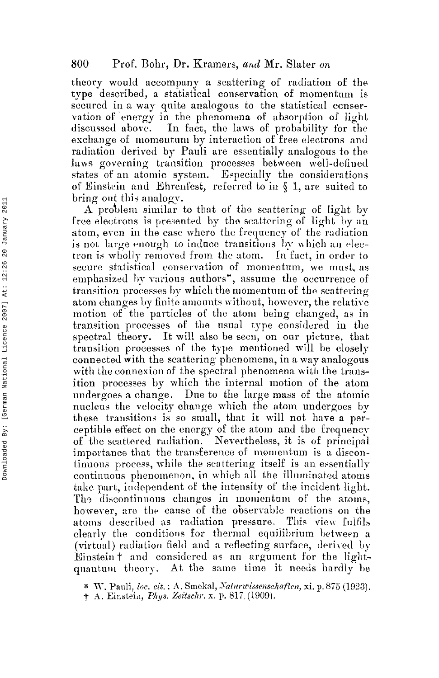theory would accompany a scattering of radiation of the type described, a statistical conservation of momentum is secured in a way quite analogous to the statistical conservation of energy in the phenomena of absorption of light discussed above. In fact, the laws of probability for the exchange of momentum by interaction of free electrons and radiation derived by Pauli are essentially analogous to the laws governing transition processes between well-defined states of an atomic system. Especially the considerations of Einstein and Ehrenfest, referred to in § 1, are suited to bring out this analogy.

A problem similar to that of the scattering of light by free electrons is presented by the scattering of light by an atom, even in the ease where the frequency of the radiation is not large enough to induce transitions by which an electron is wholly removed from the atom. In fact, in order to secure statistical conservation of momentum, we must, as emphasized by various authors\*, assume the occurrence of transition processes by which the momentum of the scattering atom changes by finite amounts without, however, the relative motion of the particles of the atom being changed, as in transition processes of the usual type considered in the spectral theory. It will also be seen, on our picture, that transition processes of the type mentioned will be closely connected with the scattering phenomena, in a way analogous with the connexion of the spectral phenomena with the transition processes by which the internal motion of the atom undergoes a change. Due to the large mass of the atomic nucleus the velocity change which the atom undergoes by these transitions is so small, that it will not have a pereeptible effect on the energy of the atom and the frequency of the scattered radiation. Nevertheless, it is of principal importance that the transference of momentum is a discontinuous process, while the scattering itself is an essentially continuous phenomenon, in which all the illuminated atoms take part, independent of the intensity of the incident light. The discontinuous changes in momentum of the atoms, however, are the cause of the observable reactions on the atoms described as radiation pressure. This view fulfils clearly the conditions for thermal equilibrium between a (virtual) radiation field and a reflecting surface, derived by Einstein  $\dagger$  and considered as an argument for the lightquantum theory. At the same time it needs hardly be

<sup>\*</sup> W. Pauli, *loc. cit.*; A. Smekal, *Naturwissenschaften*, xi. p. 875 (1923).

<sup>1&</sup>quot; A. Einstein~ *Pllys. Zeitschr.* x. p. *817,* (1909).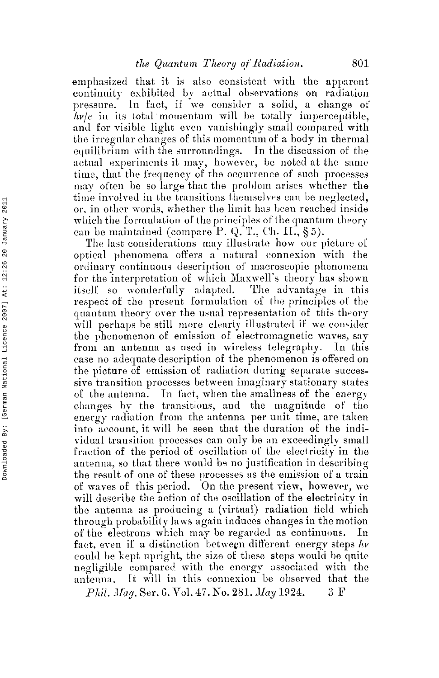emphasized that it is also consistent with the apparent continuity exhibited by actual observations on radiation pressure. In fact, if we consider a solid, a change of  $h\nu/c$  in its total momentum will be totally imperceptible. and for visible light even vanishingly small compared with the irregular changes of this momentum of a body in thermal equilibrium with the surroundings. In the discussion of the actual experiments it may, however, be noted at the same time, that the frequeney of the oeeurrence of sneh processes may often be so large that the problem arises whether the time involved in the transitions themselves can be neglected, or, in other words, whether the limit has been reached inside which the formulation of the principles of the quantum theory can be maintained (compare P. Q. T., Ch. II.,  $\S 5$ ).

The last considerations may illustrate how our picture of optical phenomena offers a natural connexion with the ordinary continuous description of macroscopic phenomena for the interpretation of which Maxwell's theory has shown itself so wonderfully adapted. The advantage in this respect of the present formulation of the principles of the quantum theory over the usual representation of this theory will perhaps be still more clearly illustrated if we consider the phenomenon of emission of electromagnetic waws, say from an antenna as used in wireless telegraphy. In this ease no adequate description of the phenomenon is offered on the picture of emission of radiation during separate successive transition processes between imaginary stationary states of the antenna. In fact, when the smallness of the energy changes bv the transitions, and the magnitude of the energy radiation from the antenna per unit time, are taken into account, it will be seen that the duration of the individual transition processes can only be an exceedingly small fraction of the period of oscillation or' the electricity in the antenna, so that there would be no justification in describing the result of one of these processes as the emission of a train of waves of this period. On the present view, however, we will describe the action of the oscillation of the electricity in the antenna as producing a (virtual) radiation field which through probability laws again induces changes in the motion of the electrons which may be regarded as continuous. In fact, even if a distinction between different energy steps *hv*  eouhl be kept upright, the size of these steps would be quite negligible compared with the energy associated with the antenna. It will in this connexion be observed that the *Phil. Mag.* Ser. 6. Vol. 47. No. 281. May 1924. 3 F